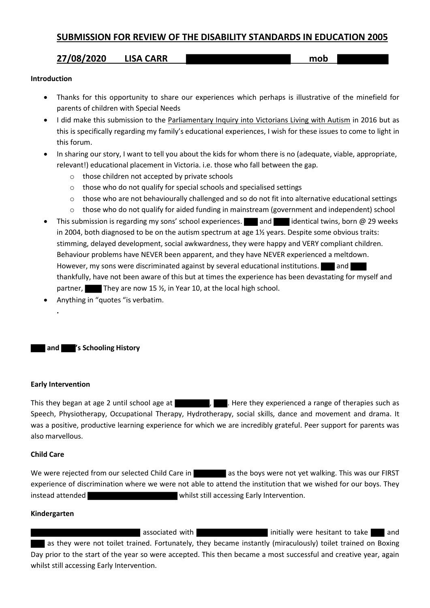# **SUBMISSION FOR REVIEW OF THE DISABILITY STANDARDS IN EDUCATION 2005**

# **27/08/2020 LISA CARR mob**

#### **Introduction**

- Thanks for this opportunity to share our experiences which perhaps is illustrative of the minefield for parents of children with Special Needs
- I did make this submission to the Parliamentary Inquiry into Victorians Living with Autism in 2016 but as this is specifically regarding my family's educational experiences, I wish for these issues to come to light in this forum.
- In sharing our story, I want to tell you about the kids for whom there is no (adequate, viable, appropriate, relevant!) educational placement in Victoria. i.e. those who fall between the gap.
	- o those children not accepted by private schools
	- o those who do not qualify for special schools and specialised settings
	- $\circ$  those who are not behaviourally challenged and so do not fit into alternative educational settings
	- o those who do not qualify for aided funding in mainstream (government and independent) school
- This submission is regarding my sons' school experiences. and and identical twins, born @ 29 weeks in 2004, both diagnosed to be on the autism spectrum at age 1½ years. Despite some obvious traits: stimming, delayed development, social awkwardness, they were happy and VERY compliant children. Behaviour problems have NEVER been apparent, and they have NEVER experienced a meltdown. However, my sons were discriminated against by several educational institutions. **All and Lea** thankfully, have not been aware of this but at times the experience has been devastating for myself and partner, They are now 15  $\frac{1}{2}$ , in Year 10, at the local high school.
- Anything in "quotes "is verbatim.

## **and 's Schooling History**

#### **Early Intervention**

**.**

This they began at age 2 until school age at  $\blacksquare$ , . Here they experienced a range of therapies such as Speech, Physiotherapy, Occupational Therapy, Hydrotherapy, social skills, dance and movement and drama. It was a positive, productive learning experience for which we are incredibly grateful. Peer support for parents was also marvellous.

### **Child Care**

We were rejected from our selected Child Care in as the boys were not yet walking. This was our FIRST experience of discrimination where we were not able to attend the institution that we wished for our boys. They instead attended whilst still accessing Early Intervention.

#### **Kindergarten**

associated with **initially** were hesitant to take and as they were not toilet trained. Fortunately, they became instantly (miraculously) toilet trained on Boxing Day prior to the start of the year so were accepted. This then became a most successful and creative year, again whilst still accessing Early Intervention.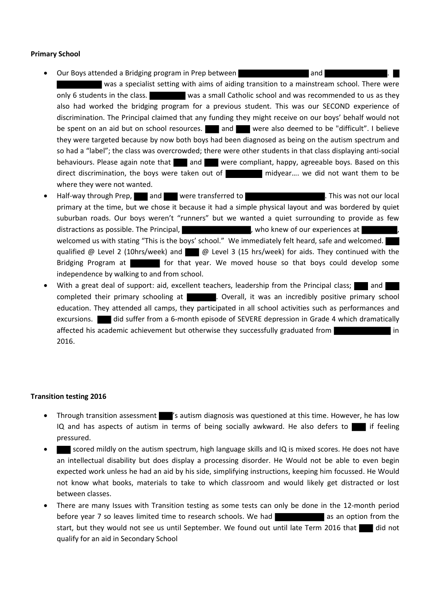### **Primary School**

- **Our Boys attended a Bridging program in Prep between and the state of and 1**  was a specialist setting with aims of aiding transition to a mainstream school. There were only 6 students in the class. was a small Catholic school and was recommended to us as they also had worked the bridging program for a previous student. This was our SECOND experience of discrimination. The Principal claimed that any funding they might receive on our boys' behalf would not be spent on an aid but on school resources. and were also deemed to be "difficult". I believe they were targeted because by now both boys had been diagnosed as being on the autism spectrum and so had a "label"; the class was overcrowded; there were other students in that class displaying anti-social behaviours. Please again note that and and were compliant, happy, agreeable boys. Based on this direct discrimination, the boys were taken out of midyear…. we did not want them to be where they were not wanted.
- Half-way through Prep, and were transferred to . This was not our local primary at the time, but we chose it because it had a simple physical layout and was bordered by quiet suburban roads. Our boys weren't "runners" but we wanted a quiet surrounding to provide as few distractions as possible. The Principal,  $\mu$ , who knew of our experiences at  $\mu$ welcomed us with stating "This is the boys' school." We immediately felt heard, safe and welcomed. qualified  $\omega$  Level 2 (10hrs/week) and  $\omega$  Level 3 (15 hrs/week) for aids. They continued with the Bridging Program at for that year. We moved house so that boys could develop some independence by walking to and from school.
- With a great deal of support: aid, excellent teachers, leadership from the Principal class; and completed their primary schooling at . Overall, it was an incredibly positive primary school education. They attended all camps, they participated in all school activities such as performances and excursions. did suffer from a 6-month episode of SEVERE depression in Grade 4 which dramatically affected his academic achievement but otherwise they successfully graduated from **in** in 2016.

#### **Transition testing 2016**

- Through transition assessment 's autism diagnosis was questioned at this time. However, he has low IQ and has aspects of autism in terms of being socially awkward. He also defers to  $\blacksquare$  if feeling pressured.
- scored mildly on the autism spectrum, high language skills and IQ is mixed scores. He does not have an intellectual disability but does display a processing disorder. He Would not be able to even begin expected work unless he had an aid by his side, simplifying instructions, keeping him focussed. He Would not know what books, materials to take to which classroom and would likely get distracted or lost between classes.
- There are many Issues with Transition testing as some tests can only be done in the 12-month period before year 7 so leaves limited time to research schools. We had start, but they would not see us until September. We found out until late Term 2016 that did not qualify for an aid in Secondary School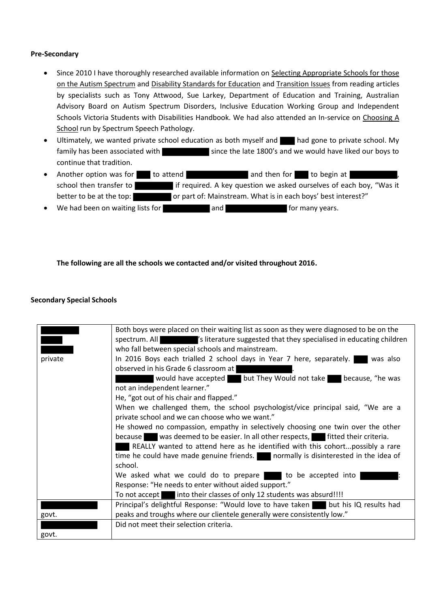### **Pre-Secondary**

- Since 2010 I have thoroughly researched available information on Selecting Appropriate Schools for those on the Autism Spectrum and Disability Standards for Education and Transition Issues from reading articles by specialists such as Tony Attwood, Sue Larkey, Department of Education and Training, Australian Advisory Board on Autism Spectrum Disorders, Inclusive Education Working Group and Independent Schools Victoria Students with Disabilities Handbook. We had also attended an In-service on Choosing A School run by Spectrum Speech Pathology.
- Ultimately, we wanted private school education as both myself and had gone to private school. My family has been associated with since the late 1800's and we would have liked our boys to continue that tradition.
- Another option was for to attend and then for to begin at school then transfer to interest if required. A key question we asked ourselves of each boy, "Was it better to be at the top: or part of: Mainstream. What is in each boys' best interest?"
- We had been on waiting lists for **and for and for many years.**

### **The following are all the schools we contacted and/or visited throughout 2016.**

#### **Secondary Special Schools**

|         | Both boys were placed on their waiting list as soon as they were diagnosed to be on the<br>spectrum. All <b>Solution</b> 's literature suggested that they specialised in educating children<br>who fall between special schools and mainstream. |
|---------|--------------------------------------------------------------------------------------------------------------------------------------------------------------------------------------------------------------------------------------------------|
| private | In 2016 Boys each trialled 2 school days in Year 7 here, separately. Was also                                                                                                                                                                    |
|         | observed in his Grade 6 classroom at                                                                                                                                                                                                             |
|         | would have accepted but They Would not take because, "he was                                                                                                                                                                                     |
|         | not an independent learner."                                                                                                                                                                                                                     |
|         | He, "got out of his chair and flapped."                                                                                                                                                                                                          |
|         | When we challenged them, the school psychologist/vice principal said, "We are a                                                                                                                                                                  |
|         | private school and we can choose who we want."                                                                                                                                                                                                   |
|         | He showed no compassion, empathy in selectively choosing one twin over the other                                                                                                                                                                 |
|         | because was deemed to be easier. In all other respects, fitted their criteria.                                                                                                                                                                   |
|         | REALLY wanted to attend here as he identified with this cohortpossibly a rare                                                                                                                                                                    |
|         | time he could have made genuine friends. normally is disinterested in the idea of                                                                                                                                                                |
|         | school.                                                                                                                                                                                                                                          |
|         | We asked what we could do to prepare to be accepted into                                                                                                                                                                                         |
|         | Response: "He needs to enter without aided support."                                                                                                                                                                                             |
|         | To not accept into their classes of only 12 students was absurd!!!!                                                                                                                                                                              |
|         | Principal's delightful Response: "Would love to have taken but his IQ results had                                                                                                                                                                |
| govt.   | peaks and troughs where our clientele generally were consistently low."                                                                                                                                                                          |
|         | Did not meet their selection criteria.                                                                                                                                                                                                           |
| govt.   |                                                                                                                                                                                                                                                  |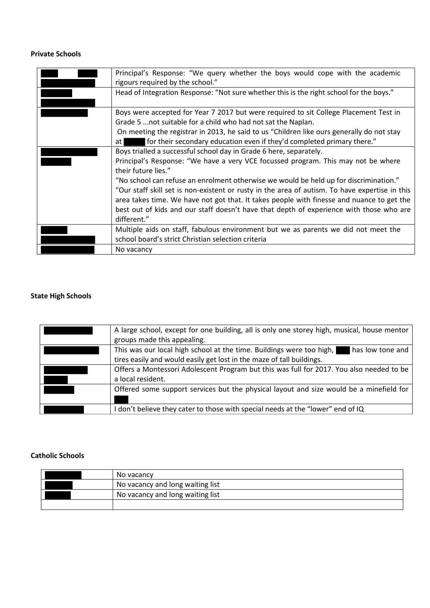# **Private Schools**

| Principal's Response: "We query whether the boys would cope with the academic<br>rigours required by the school."                                                                                                                                                                                                                                                                                                                                                                                                                                                                |
|----------------------------------------------------------------------------------------------------------------------------------------------------------------------------------------------------------------------------------------------------------------------------------------------------------------------------------------------------------------------------------------------------------------------------------------------------------------------------------------------------------------------------------------------------------------------------------|
| Head of Integration Response: "Not sure whether this is the right school for the boys."                                                                                                                                                                                                                                                                                                                                                                                                                                                                                          |
| Boys were accepted for Year 7 2017 but were required to sit College Placement Test in<br>Grade 5  not suitable for a child who had not sat the Naplan.<br>On meeting the registrar in 2013, he said to us "Children like ours generally do not stay<br>for their secondary education even if they'd completed primary there."<br>at I                                                                                                                                                                                                                                            |
| Boys trialled a successful school day in Grade 6 here, separately.<br>Principal's Response: "We have a very VCE focussed program. This may not be where<br>their future lies."<br>"No school can refuse an enrolment otherwise we would be held up for discrimination."<br>"Our staff skill set is non-existent or rusty in the area of autism. To have expertise in this<br>area takes time. We have not got that. It takes people with finesse and nuance to get the<br>best out of kids and our staff doesn't have that depth of experience with those who are<br>different." |
| Multiple aids on staff, fabulous environment but we as parents we did not meet the<br>school board's strict Christian selection criteria                                                                                                                                                                                                                                                                                                                                                                                                                                         |
| No vacancy                                                                                                                                                                                                                                                                                                                                                                                                                                                                                                                                                                       |

### **State High Schools**

| A large school, except for one building, all is only one storey high, musical, house mentor<br>groups made this appealing.                                        |
|-------------------------------------------------------------------------------------------------------------------------------------------------------------------|
| This was our local high school at the time. Buildings were too high,<br>has low tone and<br>tires easily and would easily get lost in the maze of tall buildings. |
| Offers a Montessori Adolescent Program but this was full for 2017. You also needed to be<br>a local resident.                                                     |
| Offered some support services but the physical layout and size would be a minefield for                                                                           |
| don't believe they cater to those with special needs at the "lower" end of IQ                                                                                     |

# **Catholic Schools**

| No vacancy                       |
|----------------------------------|
| No vacancy and long waiting list |
| No vacancy and long waiting list |
|                                  |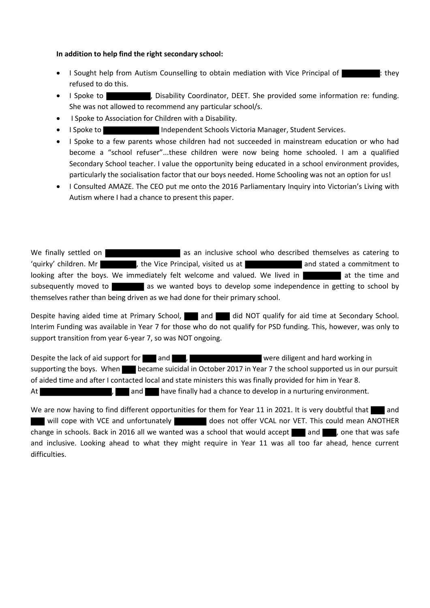#### **In addition to help find the right secondary school:**

- I Sought help from Autism Counselling to obtain mediation with Vice Principal of  $\blacksquare$ : they refused to do this.
- I Spoke to , Initially Coordinator, DEET. She provided some information re: funding. She was not allowed to recommend any particular school/s.
- I Spoke to Association for Children with a Disability.
- I Spoke to Independent Schools Victoria Manager, Student Services.
- I Spoke to a few parents whose children had not succeeded in mainstream education or who had become a "school refuser"...these children were now being home schooled. I am a qualified Secondary School teacher. I value the opportunity being educated in a school environment provides, particularly the socialisation factor that our boys needed. Home Schooling was not an option for us!
- I Consulted AMAZE. The CEO put me onto the 2016 Parliamentary Inquiry into Victorian's Living with Autism where I had a chance to present this paper.

We finally settled on **and as an inclusive school who described themselves as catering to** 'quirky' children. Mr and the Vice Principal, visited us at and stated a commitment to looking after the boys. We immediately felt welcome and valued. We lived in a statistical at the time and subsequently moved to as we wanted boys to develop some independence in getting to school by themselves rather than being driven as we had done for their primary school.

Despite having aided time at Primary School, and and did NOT qualify for aid time at Secondary School. Interim Funding was available in Year 7 for those who do not qualify for PSD funding. This, however, was only to support transition from year 6-year 7, so was NOT ongoing.

Despite the lack of aid support for and , were diligent and hard working in supporting the boys. When **became suicidal in October 2017 in Year 7** the school supported us in our pursuit of aided time and after I contacted local and state ministers this was finally provided for him in Year 8. At the same of the have finally had a chance to develop in a nurturing environment.

We are now having to find different opportunities for them for Year 11 in 2021. It is very doubtful that and will cope with VCE and unfortunately does not offer VCAL nor VET. This could mean ANOTHER change in schools. Back in 2016 all we wanted was a school that would accept  $\Box$  and  $\Box$ , one that was safe and inclusive. Looking ahead to what they might require in Year 11 was all too far ahead, hence current difficulties.